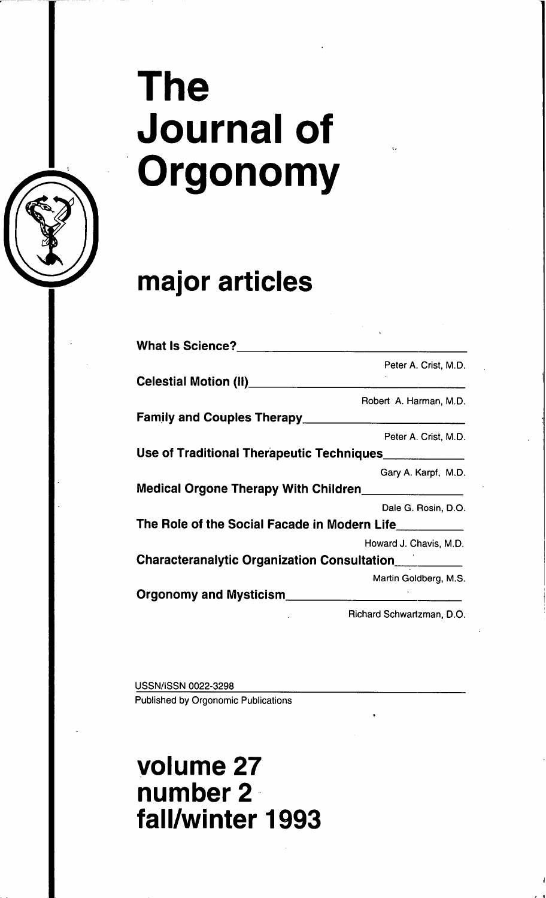# **The** Journal of **Orgonomy**

## **major articles**

| What Is Science?_________                               |                           |
|---------------------------------------------------------|---------------------------|
|                                                         | Peter A. Crist, M.D.      |
| Celestial Motion (II)____________                       |                           |
|                                                         | Robert A. Harman, M.D.    |
|                                                         |                           |
|                                                         | Peter A. Crist, M.D.      |
| Use of Traditional Therapeutic Techniques               |                           |
|                                                         | Gary A. Karpf, M.D.       |
| Medical Orgone Therapy With Children <b>Nation</b> 2012 |                           |
|                                                         | Dale G. Rosin, D.O.       |
|                                                         |                           |
|                                                         | Howard J. Chavis, M.D.    |
| Characteranalytic Organization Consultation             |                           |
|                                                         | Martin Goldberg, M.S.     |
| Orgonomy and Mysticism________________                  |                           |
|                                                         | Richard Schwartzman, D.O. |

USSN/ISSN 0022-3298 Published by Orgonomic Publications

**volume 27 number** 2·· **fall/winter 1993**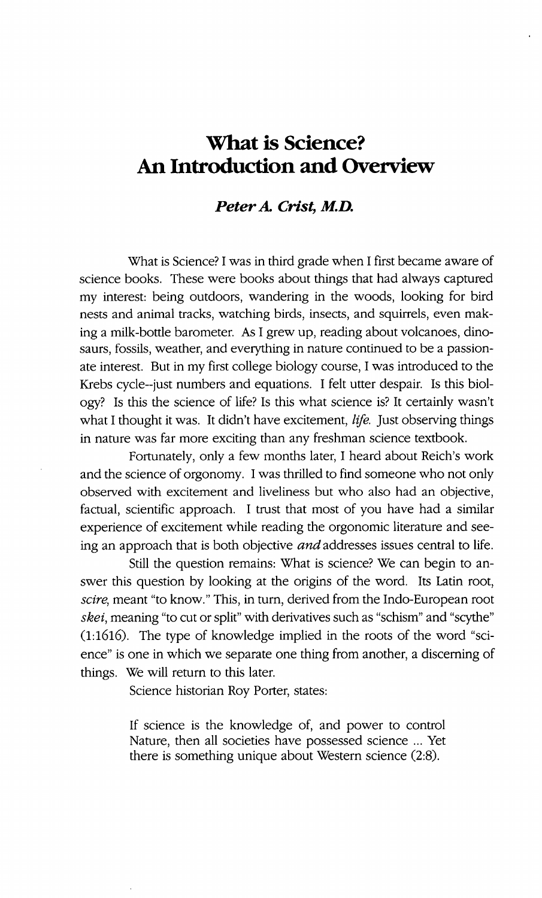### **What is Science? An Introduction and Overview**

#### *PeterA. Crist, M.D.*

What is Science?I was in third grade when I first became aware of science books. These were books about things that had always captured my interest: being outdoors, wandering in the woods, looking for bird nests and animal tracks, watching birds, insects, and squirrels, even making a milk-bottle barometer. As I grew up, reading about volcanoes, dinosaurs, fossils, weather, and everything in nature continued to be a passionate interest. But in my first college biology course, I was introduced to the Krebs cyde--just numbers and equations. I felt utter despair. Is this biology? Is this the science of life? Is this what science is? It certainly wasn't what I thought it was. It didn't have excitement, *life.* Just observing things in nature was far more exciting than any freshman science textbook.

Fortunately, only a few months later, I heard about Reich's work and the science of orgonomy. I was thrilled to find someone who not only observed with excitement and liveliness but who also had an objective, factual, scientific approach. I trust that most of you have had a similar experience of excitement while reading the orgonomic literature and seeing an approach that is both objective *and* addresses issues central to life.

Still the question remains: What is science? We can begin to answer this question by looking at the origins of the word. Its Latin root, *scire,* meant "to know." This, in turn, derived from the Indo-European root skei, meaning "to cut or split" with derivatives such as "schism" and "scythe"  $(1:1616)$ . The type of knowledge implied in the roots of the word "science" is one in which we separate one thing from another, a discerning of things. We will return to this later.

Science historian Roy Porter, states:

If science is the knowledge of, and power to control Nature, then all societies have possessed science ... Yet there is something unique about Western science (2:8).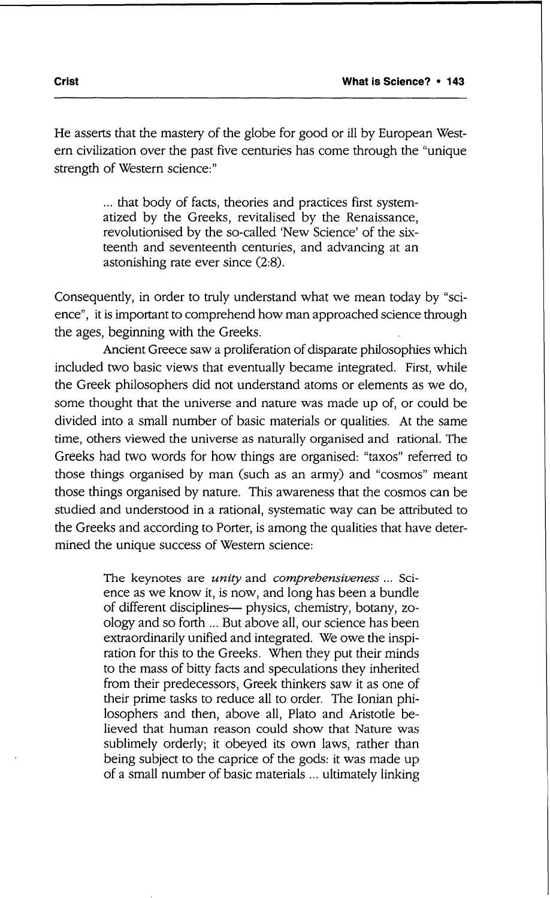He asserts that the mastery of the globe for good or ill by European Western civilization over the past five centuries has come through the "unique strength of Western science:"

> ... that body of facts, theories and practices first systematized by the Greeks, revitalised by the Renaissance, revolutionised by the so-called 'New Science' of the sixteenth and seventeenth centuries, and advancing at an astonishing rate ever since (2:8).

Consequently, in order to truly understand what we mean today by "science", it is important to comprehend how man approached science through the ages, beginning with the Greeks.

Ancient Greece saw a proliferation of disparate philosophies which included two basic views that eventually became integrated. First, while the Greek philosophers did not understand atoms or elements as we do, some thought that the universe and nature was made up of, or could be divided into a small number of basic materials or qualities. At the same time, others viewed the universe as naturally organised and rational. The Greeks had two words for how things are organised: "taxos" referred to those things organised by man (such as an army) and "cosmos" meant those things organised by nature. This awareness that the cosmos can be studied and understood in a rational, systematic way can be attributed to the Greeks and according to Porter, is among the qualities that have determined the unique success of Western science:

> The keynotes are *unity* and *comprehensiveness* ... Science as we know it, is now, and long has been a bundle of different disciplines— physics, chemistry, botany, zoology and so forth ... But above all, our science has been extraordinarily unified and integrated. We owe the inspiration for this to the Greeks. When they put their minds to the mass of bitty facts and speculations they inherited from their predecessors, Greek thinkers saw it as one of their prime tasks to reduce all to order. The Ionian philosophers and then, above all, Plato and Aristotle be· lieved that human reason could show that Nature was sublimely orderly; it obeyed its own laws, rather than being subject to the caprice of the gods: it was made up of a small number of basic materials .,. ultimately linking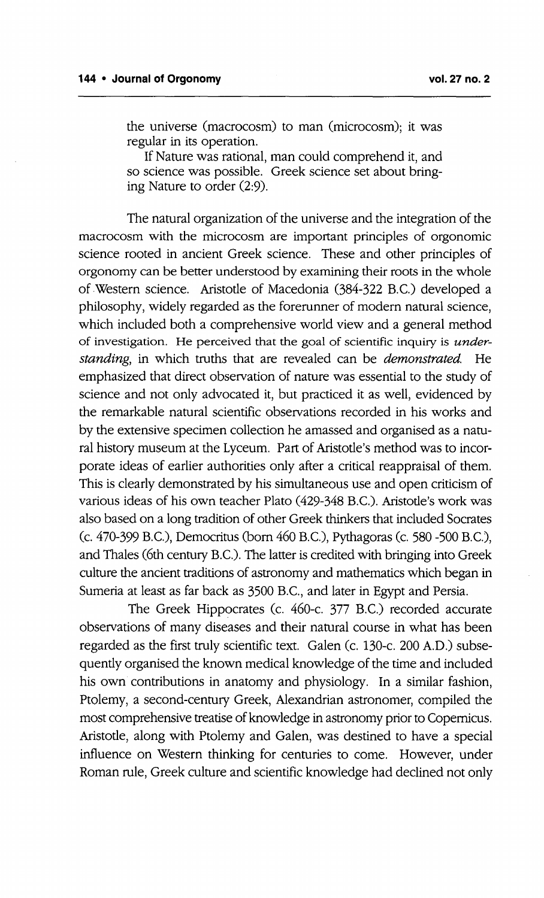the universe (macrocosm) to man (microcosm); it was regular in its operation.

If Nature was rational, man could comprehend it, and so science was possible. Greek science set about bringing Nature to order (2:9).

The natural organization of the universe and the integration of the macrocosm with the microcosm are important principles of orgonomic science rooted in ancient Greek science. These and other principles of orgonomy can be better understood by examining their roots in the whole of .Western science. Aristotle of Macedonia (384-322 B.c.) developed a philosophy, widely regarded as the forerunner of modern natural science, which included both a comprehensive world view and a general method of investigation. He perceived that the goal of scientific inquiry is under*standing,* in which truths that are revealed can be *demonstrated.* He emphasized that direct observation of nature was essential to the study of science and not only advocated it, but practiced it as well, evidenced by the remarkable natural scientific observations recorded in his works and by the extensive specimen collection he amassed and organised as a natural history museum at the Lyceum. Part of Aristotle's method was to incorporate ideas of earlier authorities only after a critical reappraisal of them. This is clearly demonstrated by his simultaneous use and open criticism of various ideas of his own teacher Plato (429-348 B.C.). Aristotle's work was also based on a long tradition of other Greek thinkers that included Socrates (c. 470-399 B.C.), Democritus (born 460 B.C.), Pythagoras (c. 580 -500 B.C.), and Thales (6th century B.C.). The latter is credited with bringing into Greek culture the ancient traditions of astronomy and mathematics which began in Sumeria at least as far back as 3500 B.C., and later in Egypt and Persia.

The Greek Hippocrates (c. 460-c. 377 B.C.) recorded accurate observations of many diseases and their natural course in what has been regarded as the first truly scientific text. Galen (c. 130-c. 200 A.D.) subsequently organised the known medical knowledge of the time and included his own contributions in anatomy and physiology. In a similar fashion, Ptolemy, a second-century Greek, Alexandrian astronomer, compiled the most comprehensive treatise of knowledge in astronomy prior to Copernicus. Aristotle, along with Ptolemy and Galen, was destined to have a special influence on Western thinking for centuries to come. However, under Roman rule, Greek culture and scientific knowledge had declined not only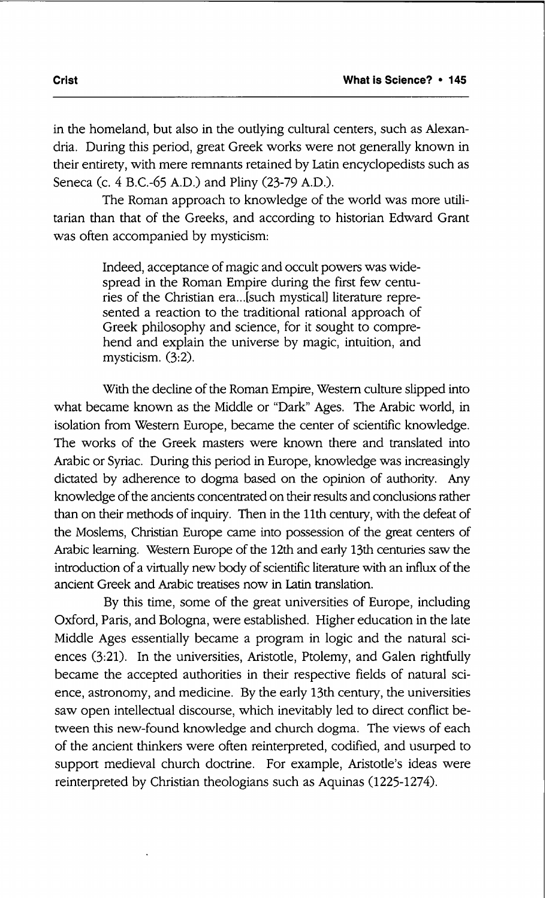in the homeland, but also in the outlying cultural centers, such as Alexandria. During this period, great Greek works were not generally known in their entirety, with mere remnants retained by Latin encyclopedists such as Seneca (c. 4 B.c.-65 A.D.) and Pliny (23-79 A.D.).

The Roman approach to knowledge of the world was more utilitarian than that of the Greeks, and according to historian Edward Grant was often accompanied by mysticism:

> Indeed, acceptance of magic and occult powers was widespread in the Roman Empire during the first few centuries of the Christian era...[such mystical] literature represented a reaction to the traditional rational approach of Greek philosophy and science, for it sought to comprehend and explain the universe by magic, intuition, and mysticism.  $(3:2)$ .

With the decline of the Roman Empire, Western culture slipped into what became known as the Middle or "Dark" Ages. The Arabic world, in isolation from Western Europe, became the center of scientific knowledge. The works of the Greek masters were known there and translated into Arabic or Syriac. During this period in Europe, knowledge was increasingly dictated by adherence to dogma based on the opinion of authority. Any knowledge of the ancients concentrated on their results and conclusions rather than on their methods of inquiry. Then in the 11th century, with the defeat of the Moslems, Christian Europe came into possession of the great centers of Arabic learning. Western Europe of the 12th and early 13th centuries saw the introduction of a virtually new body of scientific literature with an influx of the ancient Greek and Arabic treatises now in Latin translation.

By this time, some of the great universities of Europe, including Oxford, Paris, and Bologna, were established. Higher education in the late Middle Ages essentially became a program in logic and the natural sciences (3:21). In the universities, Aristotle, Ptolemy, and Galen rightfully became the accepted authorities in their respective fields of natural science, astronomy, and medicine. By the early 13th century, the universities saw open intellectual discourse, which inevitably led to direct conflict between this new-found knowledge and church dogma. The views of each of the ancient thinkers were often reinterpreted, codified, and usurped to support medieval church doctrine. For example, Aristotle's ideas were reinterpreted by Christian theologians such as Aquinas (1225-1274).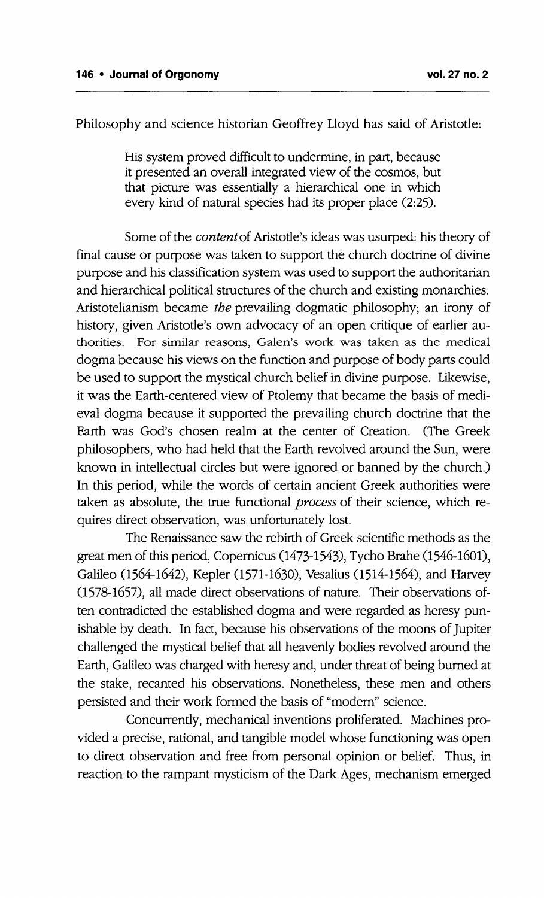Philosophy and science historian Geoffrey Lloyd has said of Aristotle:

His system proved difficult to undermine, in part, because it presented an overall integrated view of the cosmos, but that picture was essentially a hierarchical one in which every kind of natural species had its proper place (2:25).

Some of the *content*of Aristotle's ideas was usurped: his theory of final cause or purpose was taken to support the church doctrine of divine purpose and his classification system was used to support the authoritarian and hierarchical political structures of the church and existing monarchies. Aristotelianism became *the* prevailing dogmatic philosophy; an irony of history, given Aristotle's own advocacy of an open critique of earlier authorities. For similar reasons, Galen's work was taken as the medical dogma because his views on the function and purpose of body parts could be used to support the mystical church belief in divine purpose. Likewise, it was the Earth-centered view of Ptolemy that became the basis of medieval dogma because it supported the prevailing church doctrine that the Earth was God's chosen realm at the center of Creation. (The Greek philosophers, who had held that the Earth revolved around the Sun, were known in intellectual circles but were ignored or banned by the church.) In this period, while the words of certain ancient Greek authorities were taken as absolute, the true functional *process* of their science, which requires direct observation, was unfortunately lost.

The Renaissance saw the rebirth of Greek scientific methods as the great men of this period, Copernicus (1473-1543), Tycho Brahe (1546-1601), Galileo (1564-1642), Kepler (1571-1630), Vesalius (1514-1564), and Harvey (1578-1657), all made direct observations of nature. Their observations often contradicted the established dogma and were regarded as heresy punishable by death. In fact, because his observations of the moons of Jupiter challenged the mystical belief that all heavenly bodies revolved around the Earth, Galileo was charged with heresy and, under threat of being burned at the stake, recanted his observations. Nonetheless, these men and others persisted and their work formed the basis of "modem" science.

Concurrently, mechanical inventions proliferated. Machines provided a precise, rational, and tangible model whose functioning was open to direct observation and free from personal opinion or belief. Thus, in reaction to the rampant mysticism of the Dark Ages, mechanism emerged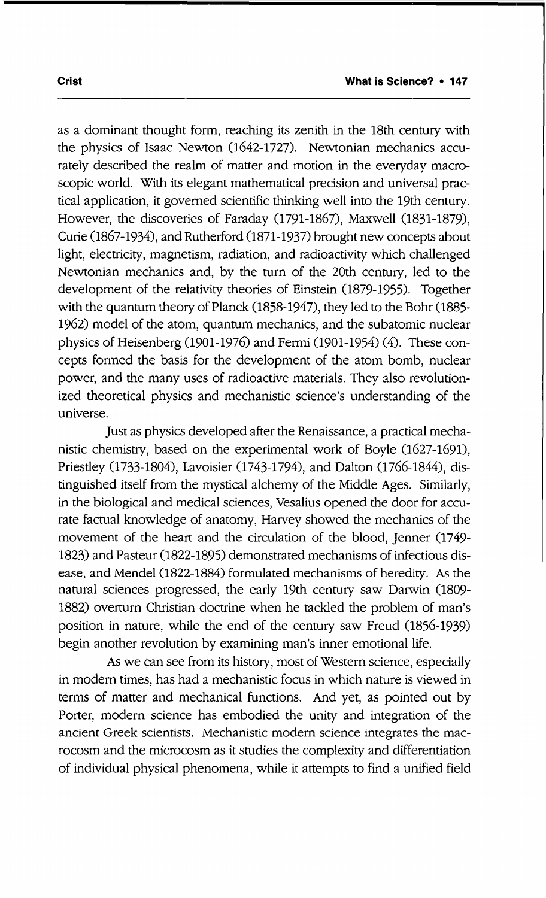as a dominant thought form, reaching its zenith in the 18th century with the physics of Isaac Newton (1642-1727). Newtonian mechanics accurately described the realm of matter and motion in the everyday macroscopic world. With its elegant mathematical precision and universal practical application, it governed scientific thinking well into the 19th century. However, the discoveries of Faraday (1791-1867), Maxwell (1831-1879), Curie (1867-1934), and Rutherford (1871-1937) brought new concepts about light, electricity, magnetism, radiation, and radioactivity which challenged Newtonian mechanics and, by the turn of the 20th century, led to the development of the relativity theories of Einstein (1879-1955), Together with the quantum theory of Planck (1858-1947), they led to the Bohr (1885- 1962) model of the atom, quantum mechanics, and the subatomic nuclear physics of Heisenberg (1901-1976) and Fermi (1901-1954) (4). These concepts formed the basis for the development of the atom bomb, nuclear power, and the many uses of radioactive materials. They also revolutionized theoretical physics and mechanistic science's understanding of the universe.

Just as physics developed after the Renaissance, a practical mechanistic chemistry, based on the experimental work of Boyle (1627-1691), Priestley (1733-1804), Lavoisier (1743-1794), and Dalton (1766-1844), distinguished itself from the mystical alchemy of the Middle Ages. Similarly, in the biological and medical sciences, Vesalius opened the door for accurate factual knowledge of anatomy, Harvey showed the mechanics of the movement of the heart and the circulation of the blood, Jenner (1749- 1823) and Pasteur (1822-1895) demonstrated mechanisms of infectious disease, and Mendel (1822-1884) formulated mechanisms of heredity. As the natural sciences progressed, the early 19th century saw Darwin (1809- 1882) overturn Christian doctrine when he tackled the problem of man's position in nature, while the end of the century saw Freud (1856-1939) begin another revolution by examining man's inner emotional life.

As we can see from its history, most of Western science, especially in modern times, has had a mechanistic focus in which nature is viewed in terms of matter and mechanical functions. And yet, as pointed out by Porter, modern science has embodied the unity and integration of the ancient Greek scientists. Mechanistic modem science integrates the macrocosm and the microcosm as it studies the complexity and differentiation of individual physical phenomena, while it attempts to find a unified field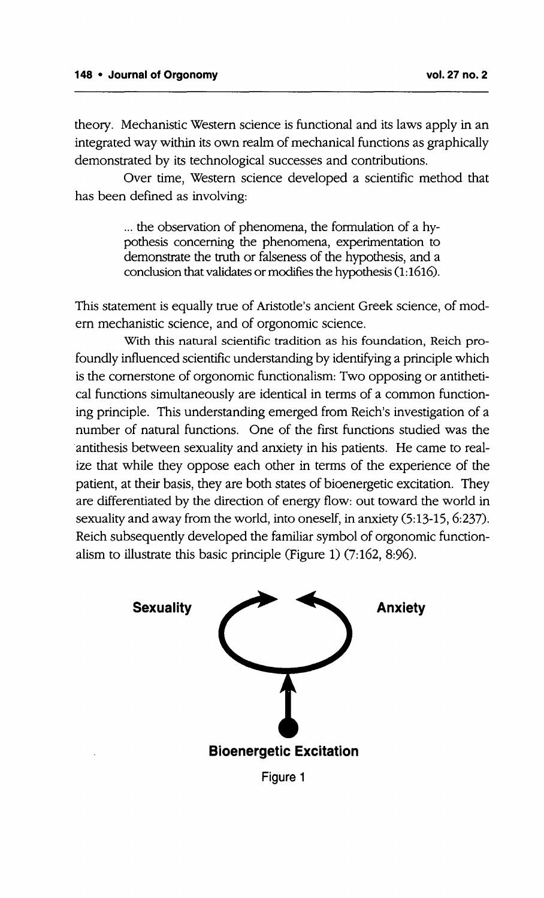theory. Mechanistic Western science is functional and its laws apply in an integrated way within its own realm of mechanical functions as graphically demonstrated by its technological successes and contributions.

Over time, Western science developed a scientific method that has been defined as involving:

> ... the observation of phenomena, the formulation of a hypothesis concerning the phenomena, experimentation to demonstrate the truth or falseness of the hypothesis, and a conclusion that validates or modifies the hypothesis (1:1616).

This statement is equally true of Aristotle's ancient Greek science, of modern mechanistic science, and of orgonomic science.

With this natural scientific tradition as his foundation, Reich profoundly influenced scientific understanding by identifying a principle which is the cornerstone of orgonomic functionalism: Two opposing or antithetical functions simultaneously are identical in terms of a common functioning principle. This understanding emerged from Reich's investigation of a number of natural functions. One of the first functions studied was the antithesis between sexuality and anxiety in his patients. He came to realize that while they oppose each other in terms of the experience of the patient, at their basis, they are both states of bioenergetic excitation. They are differentiated by the direction of energy flow: out toward the world in sexuality and away from the world, into oneself, in anxiety (5:13-15, 6:237). Reich subsequently developed the familiar symbol of orgonomic functionalism to illustrate this basic principle (Figure 1) (7:162, 8:96).

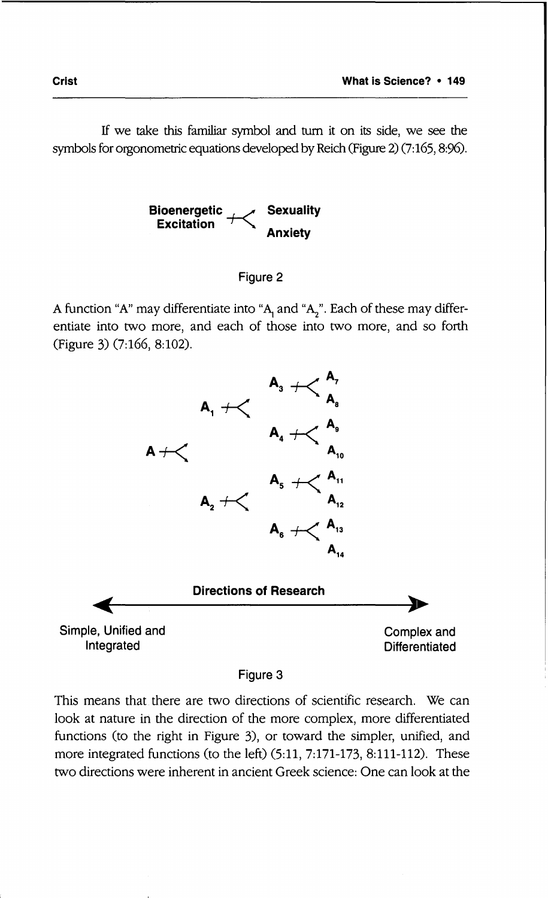If we take this familiar symbol and turn it on its side, we see the symbols for orgonometric equations developed by Reich (Figure 2) (7:165, 8:96).





A function "A" may differentiate into "A<sub>1</sub> and "A<sub>2</sub>". Each of these may differentiate into two more, and each of those into two more, and so forth (Figure 3) (7:166, 8:102).



**Figure 3**

This means that. there are two directions of scientific research. We can look at nature in the direction of the more complex, more differentiated functions (to the right in Figure 3), or toward the simpler, unified, and more integrated functions (to the left) (5:11, 7:171-173, 8:111-112). These two directions were inherent in ancient Greek science: One can look at the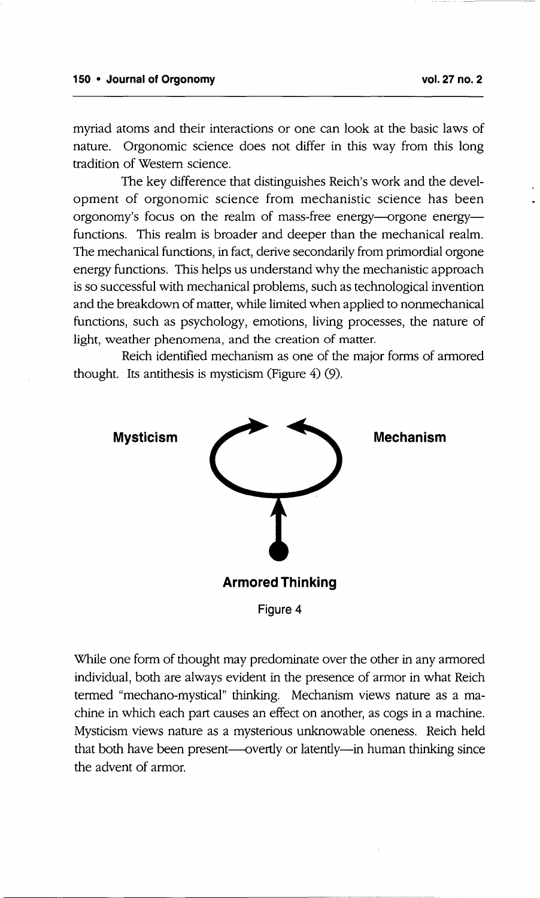myriad atoms and their interactions or one can look at the basic laws of nature. Orgonomic science does not differ in this way from this long tradition of Western science.

The key difference that distinguishes Reich's work and the development of orgonomic science from mechanistic science has been orgonomy's focus on the realm of mass-free energy---orgone energyfunctions. This realm is broader and deeper than the mechanical realm. The mechanical functions, in fact, derive secondarily from primordial orgone energy functions. This helps us understand why the mechanistic approach is so successful with mechanical problems, such as technological invention and the breakdown of matter, while limited when applied to nonmechanical functions, such as psychology, emotions, living processes, the nature of light, weather phenomena, and the creation of matter.

Reich identified mechanism as one of the major forms of armored thought. Its antithesis is mysticism(Figure 4) (9).



While one form of thought may predominate over the other in any armored individual, both are always evident in the presence of armor in what Reich termed "mechano-mystical" thinking. Mechanism views nature as a machine in which each part causes an effect on another, as cogs in a machine. Mysticism views nature as a mysterious unknowable oneness. Reich held that both have been present--overtly or latently-in human thinking since the advent of armor.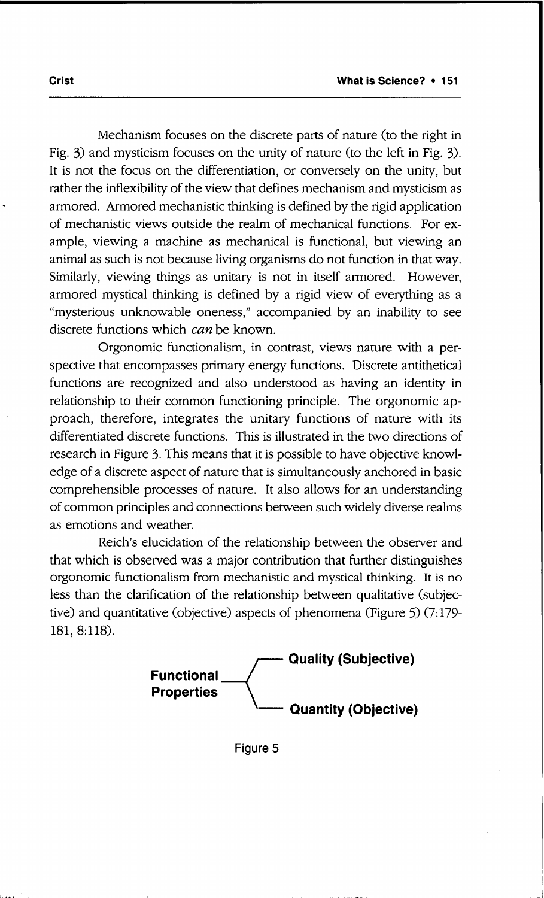Mechanism focuses on the discrete parts of nature (to the right in Fig. 3) and mysticism focuses on the unity of nature (to the left in Fig. 3). It is not the focus on the differentiation, or conversely on the unity, but rather the inflexibility of the view that defines mechanism and mysticism as armored. Armored mechanistic thinking is defined by the rigid application of mechanistic views outside the realm of mechanical functions. For example, viewing a machine as mechanical is functional, but viewing an animal as such is not because living organisms do not function in that way. Similarly, viewing things as unitary is not in itself armored. However, armored mystical thinking is defined by a rigid view of everything as a "mysterious unknowable oneness," accompanied by an inability to see discrete functions which *can* be known.

Orgonomic functionalism, in contrast, views nature with a perspective that encompasses primary energy functions. Discrete antithetical functions are recognized and also understood as having an identity in relationship to their common functioning principle. The orgonomic approach, therefore, integrates the unitary functions of nature with its differentiated discrete functions. This is illustrated in the two directions of research in Figure 3. This means that it is possible to have objective knowledge of a discrete aspect of nature that is simultaneously anchored in basic comprehensible processes of nature. It also allows for an understanding of common principles and connections between such widely diverse realms as emotions and weather.

Reich's elucidation of the relationship between the observer and that which is observed was a major contribution that further distinguishes orgonomic functionalism from mechanistic and mystical thinking. It is no less than the clarification of the relationship between qualitative (subjective) and quantitative (objective) aspects of phenomena (Figure 5) (7:179-181, 8:118).

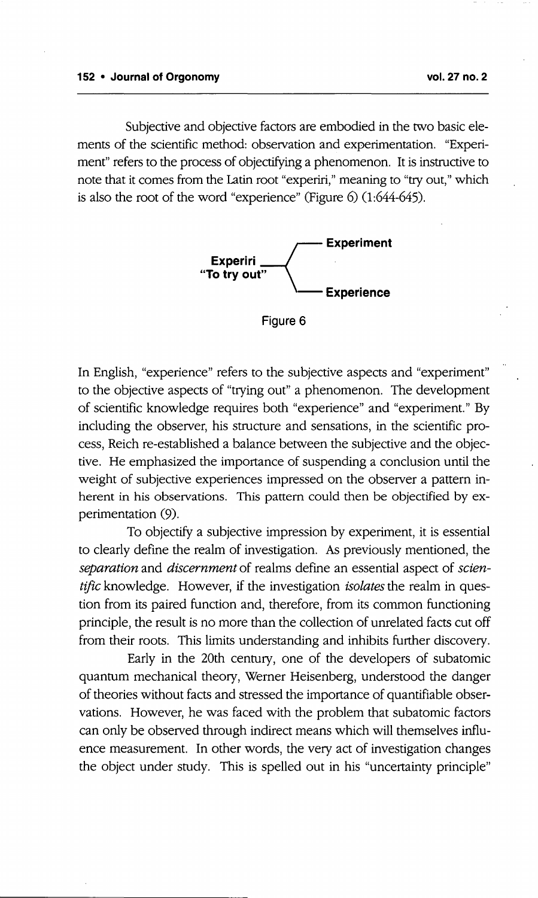Subjective and objective factors are embodied in the two basic elements of the scientific method: observation and experimentation. "Experiment" refers to the process of objectifyinga phenomenon. It is instructive to note that it comes from the Latin root "experiri,"meaning to "try out," which is also the root of the word "experience" (Figure 6) (1:644-645).



**Figure 6**

In English, "experience" refers to the subjective aspects and "experiment" to the objective aspects of "trying out" a phenomenon. The development of scientific knowledge requires both "experience" and "experiment." By including the observer, his structure and sensations, in the scientific process, Reich re-established a balance between the subjective and the objective. He emphasized the importance of suspending a conclusion until the weight of subjective experiences impressed on the observer a pattern inherent in his observations. This pattern could then be objectified by experimentation (9).

To objectify a subjective impression by experiment, it is essential to clearly define the realm of investigation. As previously mentioned, the *separation* and *discernment* of realms define an essential aspect of *scientific* knowledge. However, if the investigation *isolates*the realm in question from its paired function and, therefore, from its common functioning principle, the result is no more than the collection of unrelated facts cut off from their roots. This limits understanding and inhibits further discovery.

Early in the 20th century, one of the developers of subatomic quantum mechanical theory, Werner Heisenberg, understood the danger of theories without facts and stressed the importance of quantifiable observations. However, he was faced with the problem that subatomic factors can only be observed through indirect means which will themselves influence measurement. In other words, the very act of investigation changes the object under study. This is spelled out in his "uncertainty principle"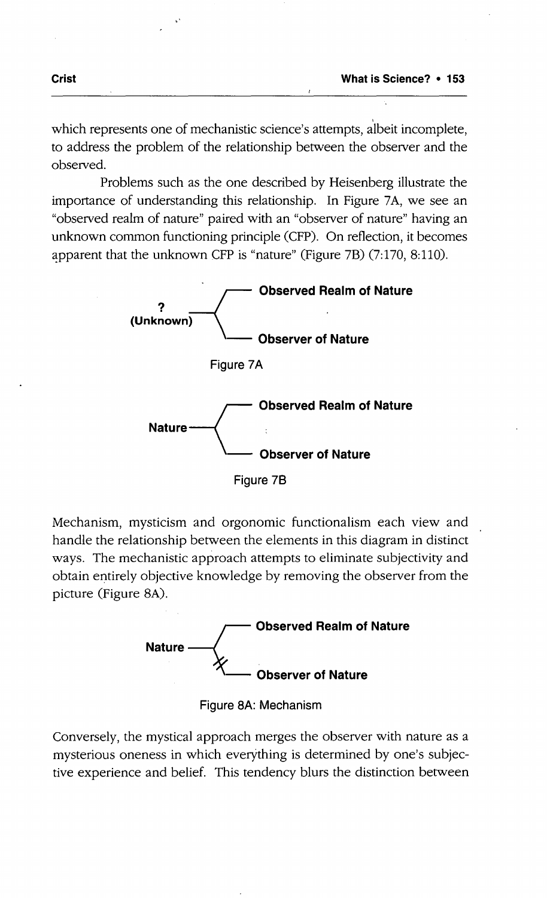which represents one of mechanistic science's attempts, albeit incomplete, to address the problem of the relationship between the observer and the observed.

Problems such as the one described by Heisenberg illustrate the importance of understanding this relationship. In Figure 7A, we see an "observed realm of nature" paired with an "observer of nature" having an unknown common functioning principle (CFP). On reflection, it becomes



Mechanism, mysticism and orgonomic functionalism each view and handle the relationship between the elements in this diagram in distinct ways. The mechanistic approach attempts to eliminate subjectivity and obtain entirely objective knowledge by removing the observer from the picture (Figure 8A).



**Figure** 8A: **Mechanism**

Conversely, the mystical approach merges the observer with nature as a mysterious oneness in which everything is determined by one's subjective experience and belief. This tendency blurs the distinction between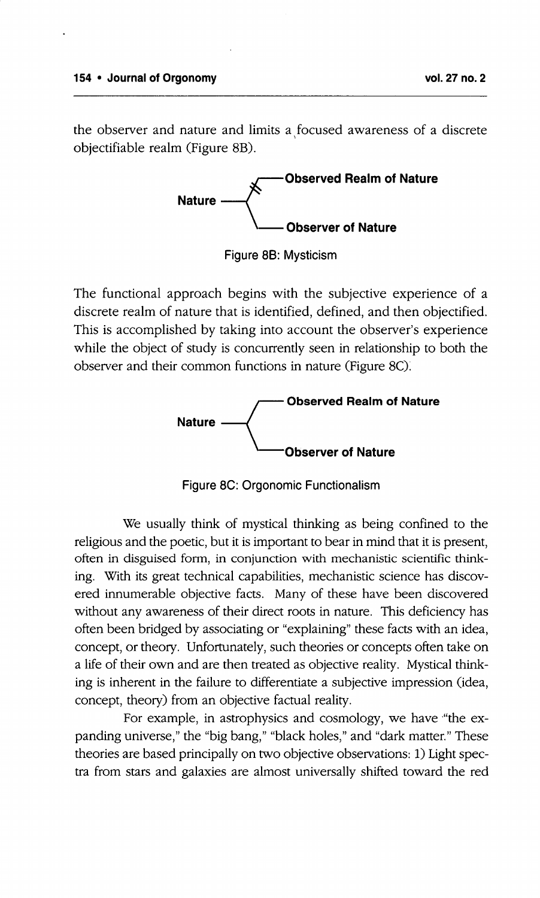the observer and nature and limits a focused awareness of a discrete objectifiable realm (Figure 8B).



Figure 88: Mysticism

The functional approach begins with the subjective experience of a discrete realm of nature that is identified, defined, and then objectified. This is accomplished by taking into account the observer's experience while the object of study is concurrently seen in relationship to both the observer and their common functions in nature (Figure 8C).



Figure 8C: Orgonomic Functionalism

We usually think of mystical thinking as being confined to the religious and the poetic, but it isimportant to bear in mind that it is present, often in disguised form, in conjunction with mechanistic scientific thinking. With its great technical capabilities, mechanistic science has discovered innumerable objective facts. Many of these have been discovered without any awareness of their direct roots in nature. This deficiency has often been bridged by associating or "explaining" these facts with an idea, concept, or theory. Unfortunately, such theories or concepts often take on a life of their own and are then treated as objective reality. Mystical thinking is inherent in the failure to differentiate a subjective impression (idea, concept, theory) from an objective factual reality.

For example, in astrophysics and cosmology, we have "the expanding universe," the "big bang," "black holes," and "dark matter." These theories are based principally on two objective observations: 1) Light spectra from stars and galaxies are almost universally shifted toward the red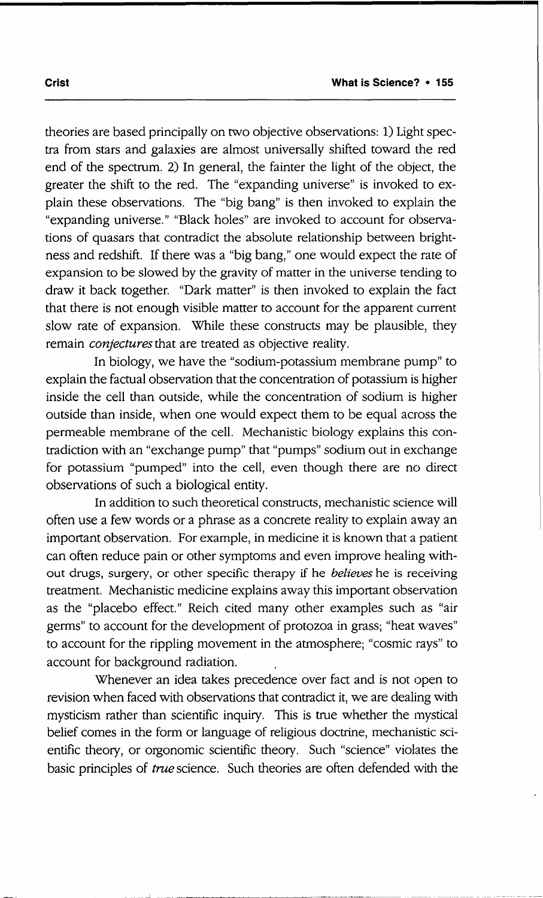theories are based principally on two objective observations: 1) Light spectra from stars and galaxies are almost universally shifted toward the red end of the spectrum. 2) In general, the fainter the light of the object, the greater the shift to the red. The "expanding universe" is invoked to explain these observations. The "big bang" is then invoked to explain the "expanding universe." "Black holes" are invoked to account for observations of quasars that contradict the absolute relationship between brightness and redshift. If there was a "big bang," one would expect the rate of expansion to be slowed by the gravity of matter in the universe tending to draw it back together. "Dark matter" is then invoked to explain the fact that there is not enough visible matter to account for the apparent current slow rate of expansion. While these constructs may be plausible, they remain *conjectures*that are treated as objective reality.

In biology, we have the "sodium-potassium membrane pump" to explain the factual observation that the concentration of potassium is higher inside the cell than outside, while the concentration of sodium is higher outside than inside, when one would expect them to be equal across the permeable membrane of the cell. Mechanistic biology explains this contradiction with an "exchange pump" that "pumps" sodium out in exchange for potassium "pumped" into the cell, even though there are no direct observations of such a biological entity.

In addition to such theoretical constructs, mechanistic science will often use a few words or a phrase as a concrete reality to explain awayan important observation. For example, in medicine it is known that a patient can often reduce pain or other symptoms and even improve healing without drugs, surgery, or other specific therapy if he *believes* he is receiving treatment. Mechanistic medicine explains away this important observation as the "placebo effect." Reich cited many other examples such as "air germs" to account for the development of protozoa in grass; "heat waves" to account for the rippling movement in the atmosphere; "cosmic rays" to account for background radiation.

Whenever an idea takes precedence over fact and is not open to revision when faced with observations that contradict it, we are dealing with mysticism rather than scientific inquiry. This is true whether the mystical belief comes in the form or language of religious doctrine, mechanistic scientific theory, or orgonomic scientific theory. Such "science" violates the basic principles of *true* science. Such theories are often defended with the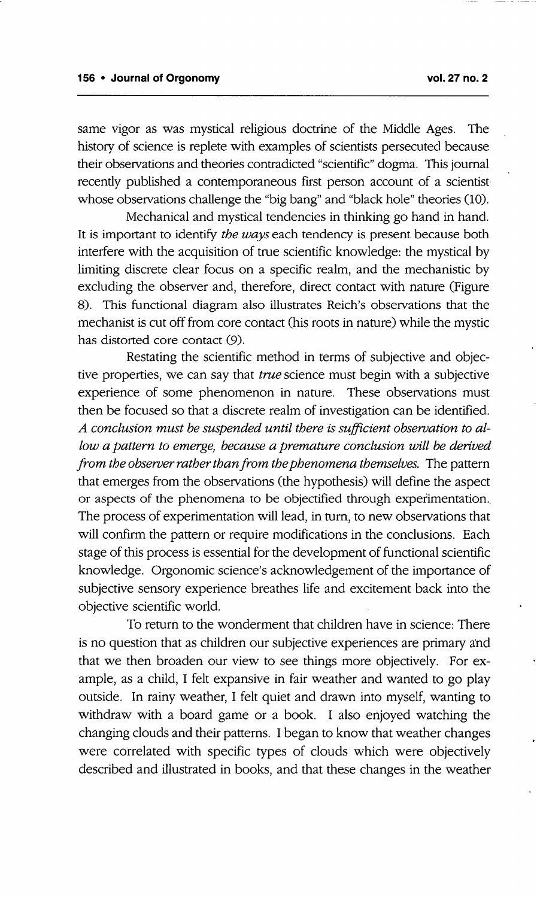same vigor as was mystical religious doctrine of the Middle Ages. The history of science is replete with examples of scientists persecuted because their observations and theories contradicted "scientific" dogma. This journal recently published a contemporaneous first person account of a scientist whose observations challenge the "big bang" and "black hole" theories (10).

Mechanical and mystical tendencies in thinking go hand in hand. It is important to identify *the ways* each tendency is present because both interfere with the acquisition of true scientific knowledge: the mystical by limiting discrete clear focus on a specific realm, and the mechanistic by excluding the observer and, therefore, direct contact with nature (Figure 8). This functional diagram also illustrates Reich's observations that the mechanist is cut off from core contact (his roots in nature) while the mystic has distorted core contact (9).

Restating the scientific method in terms of subjective and objective properties, we can say that *true* science must begin with a subjective experience of some phenomenon in nature. These observations must then be focused so that a discrete realm of investigation can be identified. *A conclusion must be suspended until there is sufficient observation to allow a pattern to emerge, because a premature conclusion will be derived from the observer rather than from the phenomena themselves.* The pattern that emerges from the observations (the hypothesis) will define the aspect or aspects of the phenomena to be objectified through experimentation-, The process of experimentation will lead, in turn, to new observations that will confirm the pattern or require modifications in the conclusions. Each stage of this process is essential for the development of functional scientific knowledge. Orgonomic science's acknowledgement of the importance of subjective sensory experience breathes life and excitement back into the objective scientific world.

To return to the wonderment that children have in science: There is no question that as children our subjective experiences are primary and that we then broaden our view to see things more objectively. For example, as a child, I felt expansive in fair weather and wanted to go play outside. In rainy weather, I felt quiet and drawn into myself, wanting to withdraw with a board game or a book. I also enjoyed watching the changing clouds and their patterns. I began to know that weather changes were correlated with specific types of clouds which were objectively described and illustrated in books, and that these changes in the weather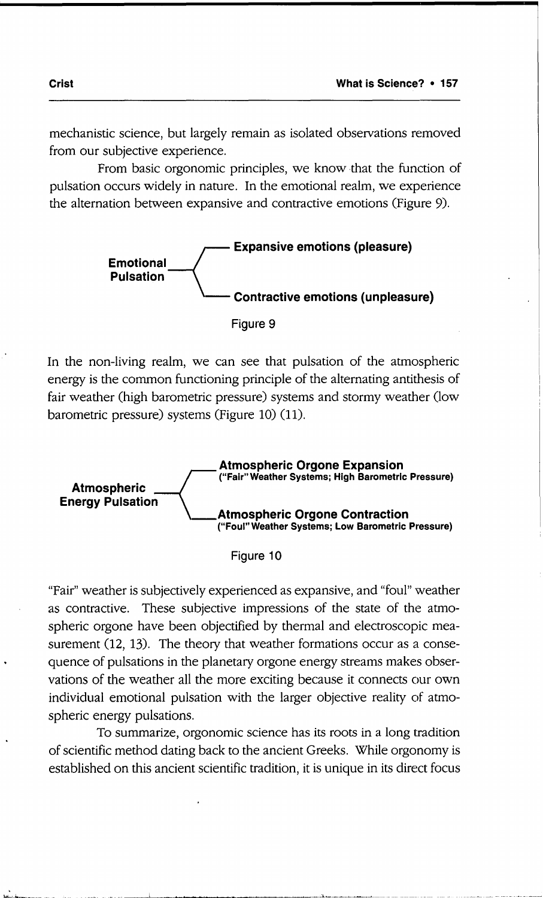mechanistic science, but largely remain as isolated observations removed from our subjective experience.

From basic orgonomic principles, we know that the function of pulsation occurs widely in nature. In the emotional realm, we experience the alternation between expansive and contractive emotions (Figure 9).



Figure 9

In the non-living realm, we can see that pulsation of the atmospheric energy is the common functioning principle of the alternating antithesis of fair weather (high barometric pressure) systems and stormy weather (low barometric pressure) systems (Figure 10) (11).





"Fair" weather is subjectively experienced as expansive, and "foul" weather as contractive. These subjective impressions of the state of the atmospheric orgone have been objectified by thermal and electroscopic measurement (12, 13). The theory that weather formations occur as a consequence of pulsations in the planetary orgone energy streams makes observations of the weather all the more exciting because it connects our own individual emotional pulsation with the larger objective reality of atmospheric energy pulsations.

To summarize, orgonomic science has its roots in a long tradition of scientific method dating back to the ancient Greeks. While orgonomy is established on this ancient scientific tradition, it is unique in its direct focus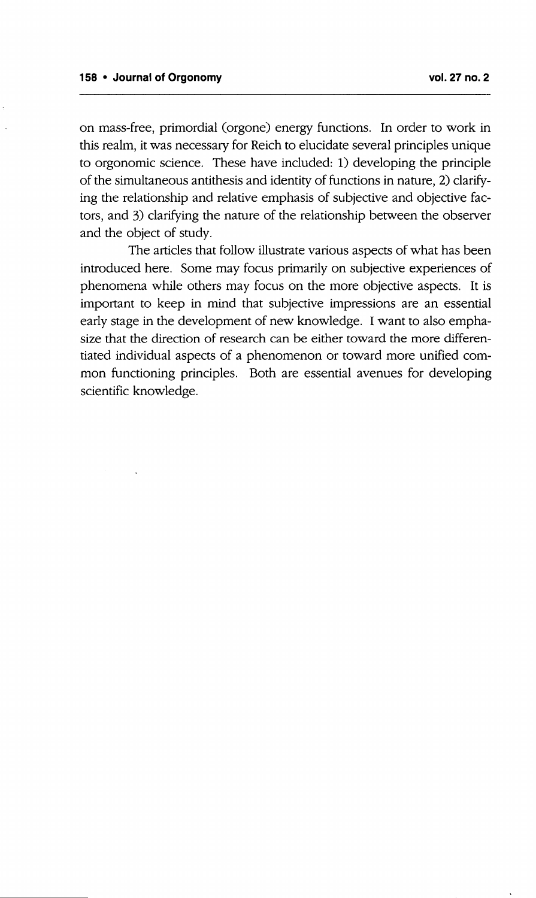on mass-free, primordial (orgone) energy functions. In order to work in this realm, it was necessary for Reich to elucidate several principles unique to orgonomic science. These have included: 1) developing the principle of the simultaneous antithesis and identity of functions in nature, 2) clarifying the relationship and relative emphasis of subjective and objective factors, and 3) clarifying the nature of the relationship between the observer and the object of study.

The articles that follow illustrate various aspects of what has been introduced here. Some may focus primarily on subjective experiences of phenomena while others may focus on the more objective aspects. It is important to keep in mind that subjective impressions are an essential early stage in the development of new knowledge. I want to also emphasize that the direction of research can be either toward the more differentiated individual aspects of a phenomenon or toward more unified common functioning principles. Both are essential avenues for developing scientific knowledge.